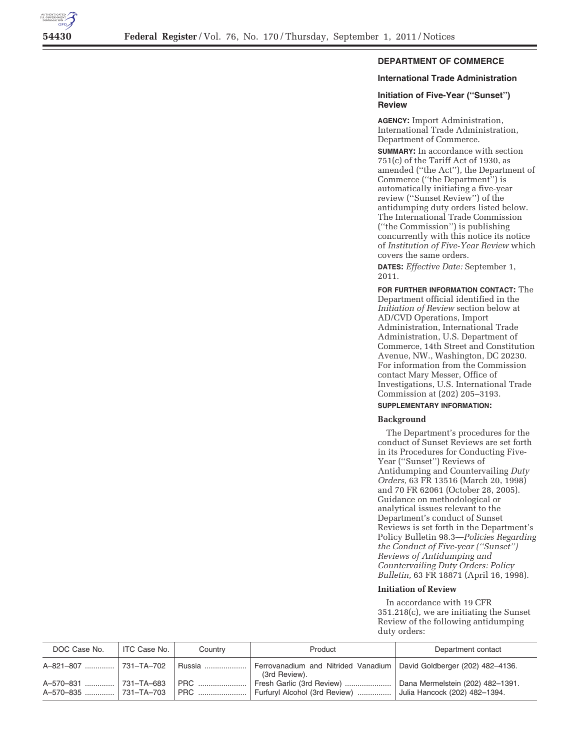

# **DEPARTMENT OF COMMERCE**

# **International Trade Administration**

## **Initiation of Five-Year (''Sunset'') Review**

**AGENCY:** Import Administration, International Trade Administration, Department of Commerce.

**SUMMARY:** In accordance with section  $751(c)$  of the Tariff Act of 1930, as amended (''the Act''), the Department of Commerce (''the Department'') is automatically initiating a five-year review (''Sunset Review'') of the antidumping duty orders listed below. The International Trade Commission (''the Commission'') is publishing concurrently with this notice its notice of *Institution of Five-Year Review* which covers the same orders.

**DATES:** *Effective Date:* September 1, 2011.

**FOR FURTHER INFORMATION CONTACT:** The Department official identified in the *Initiation of Review* section below at AD/CVD Operations, Import Administration, International Trade Administration, U.S. Department of Commerce, 14th Street and Constitution Avenue, NW., Washington, DC 20230. For information from the Commission contact Mary Messer, Office of Investigations, U.S. International Trade Commission at (202) 205–3193.

## **SUPPLEMENTARY INFORMATION:**

#### **Background**

The Department's procedures for the conduct of Sunset Reviews are set forth in its Procedures for Conducting Five-Year (''Sunset'') Reviews of Antidumping and Countervailing *Duty Orders,* 63 FR 13516 (March 20, 1998) and 70 FR 62061 (October 28, 2005). Guidance on methodological or analytical issues relevant to the Department's conduct of Sunset Reviews is set forth in the Department's Policy Bulletin 98.3—*Policies Regarding the Conduct of Five-year (''Sunset'') Reviews of Antidumping and Countervailing Duty Orders: Policy Bulletin,* 63 FR 18871 (April 16, 1998).

## **Initiation of Review**

In accordance with 19 CFR 351.218(c), we are initiating the Sunset Review of the following antidumping duty orders:

| DOC Case No. | ITC Case No. | Country    | Product                                                    | Department contact                                                |
|--------------|--------------|------------|------------------------------------------------------------|-------------------------------------------------------------------|
|              |              | Russia     | Ferrovanadium and Nitrided Vanadium<br>(3rd Review).       | David Goldberger (202) 482-4136.                                  |
| A-570-831    | ⊺731–TA–683  | <b>PRC</b> | Fresh Garlic (3rd Review)<br>Furfuryl Alcohol (3rd Review) | Dana Mermelstein (202) 482-1391.<br>Julia Hancock (202) 482-1394. |